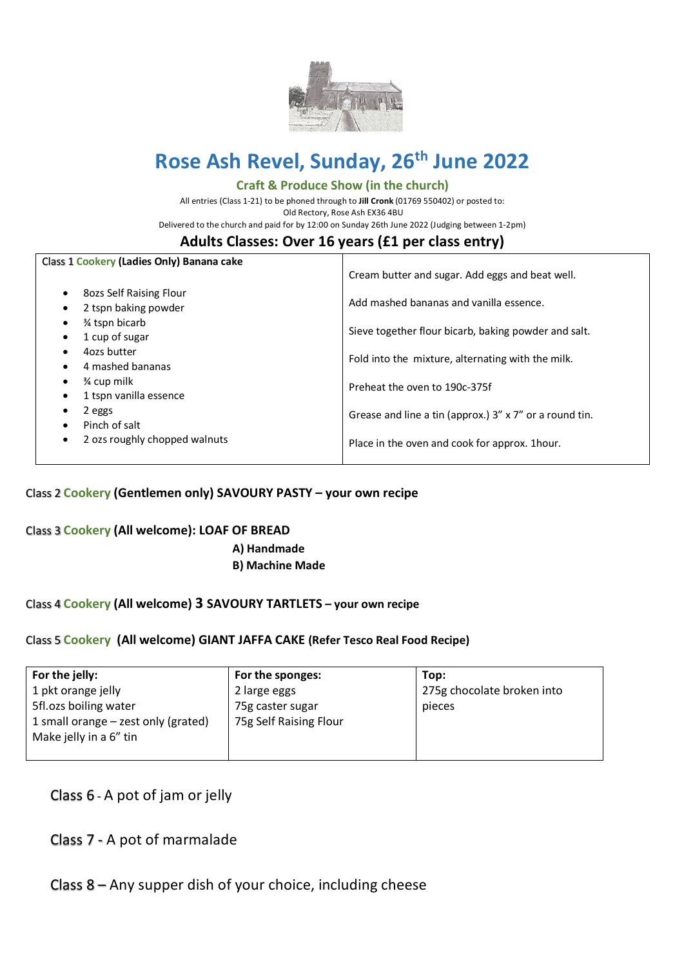

**Rose Ash Revel, Sunday, 26th June 2022**

**Craft & Produce Show (in the church)**

All entries (Class 1-21) to be phoned through to **Jill Cronk** (01769 550402) or posted to: Old Rectory, Rose Ash EX36 4BU

Delivered to the church and paid for by 12:00 on Sunday 26th June 2022 (Judging between 1-2pm)

## **Adults Classes: Over 16 years (£1 per class entry)**

| Cream butter and sugar. Add eggs and beat well.         |
|---------------------------------------------------------|
| Add mashed bananas and vanilla essence.                 |
| Sieve together flour bicarb, baking powder and salt.    |
| Fold into the mixture, alternating with the milk.       |
|                                                         |
| Grease and line a tin (approx.) 3" x 7" or a round tin. |
| Place in the oven and cook for approx. 1 hour.          |
|                                                         |

#### Class 2 **Cookery (Gentlemen only) SAVOURY PASTY – your own recipe**

#### Class 3 **Cookery (All welcome): LOAF OF BREAD**

**A) Handmade B) Machine Made**

#### Class 4 **Cookery (All welcome) 3 SAVOURY TARTLETS – your own recipe**

#### Class 5 **Cookery (All welcome) GIANT JAFFA CAKE (Refer Tesco Real Food Recipe)**

| For the jelly:                      | For the sponges:       | Top:                       |
|-------------------------------------|------------------------|----------------------------|
| 1 pkt orange jelly                  | 2 large eggs           | 275g chocolate broken into |
| 5fl.ozs boiling water               | 75g caster sugar       | pieces                     |
| 1 small orange – zest only (grated) | 75g Self Raising Flour |                            |
| Make jelly in a 6" tin              |                        |                            |
|                                     |                        |                            |

## Class 6 - A pot of jam or jelly

## Class 7 - A pot of marmalade

## Class 8 – Any supper dish of your choice, including cheese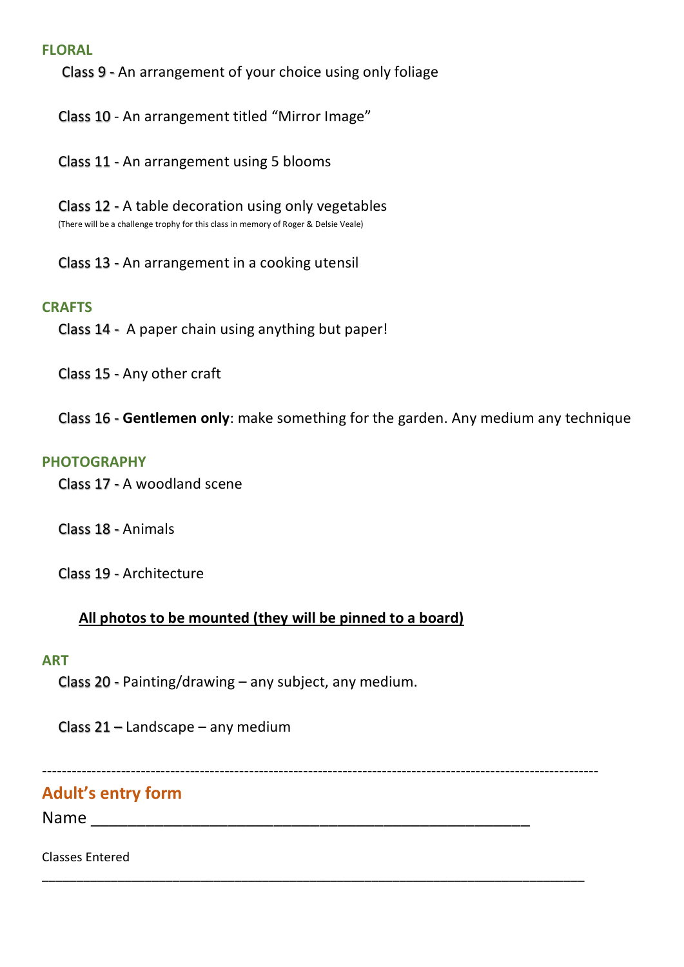### **FLORAL**

Class 9 - An arrangement of your choice using only foliage

Class 10 - An arrangement titled "Mirror Image"

Class 11 - An arrangement using 5 blooms

Class 12 - A table decoration using only vegetables (There will be a challenge trophy for this class in memory of Roger & Delsie Veale)

Class 13 - An arrangement in a cooking utensil

#### **CRAFTS**

Class 14 - A paper chain using anything but paper!

Class 15 - Any other craft

Class 16 - **Gentlemen only**: make something for the garden. Any medium any technique

#### **PHOTOGRAPHY**

Class 17 - A woodland scene

Class 18 - Animals

Class 19 - Architecture

## **All photos to be mounted (they will be pinned to a board)**

## **ART**

Class 20 - Painting/drawing – any subject, any medium.

Class 21 – Landscape – any medium

-----------------------------------------------------------------------------------------------------------------

\_\_\_\_\_\_\_\_\_\_\_\_\_\_\_\_\_\_\_\_\_\_\_\_\_\_\_\_\_\_\_\_\_\_\_\_\_\_\_\_\_\_\_\_\_\_\_\_\_\_\_\_\_\_\_\_\_\_\_\_\_\_\_\_\_\_\_\_\_\_\_\_\_\_\_\_\_\_\_

## **Adult's entry form**

Name

Classes Entered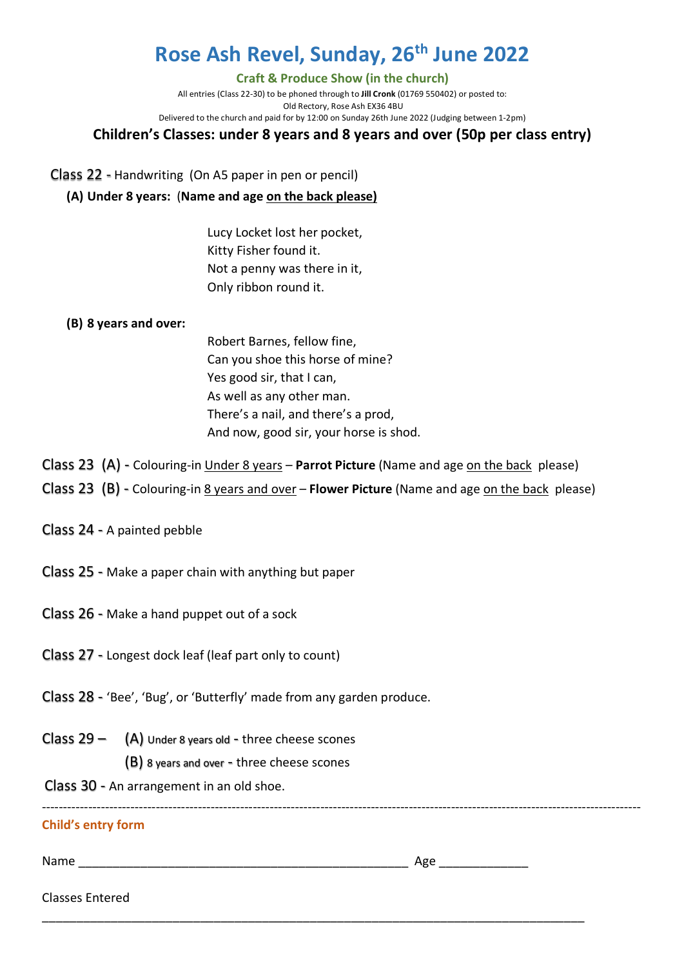# **Rose Ash Revel, Sunday, 26th June 2022**

**Craft & Produce Show (in the church)**

All entries (Class 22-30) to be phoned through to **Jill Cronk** (01769 550402) or posted to: Old Rectory, Rose Ash EX36 4BU Delivered to the church and paid for by 12:00 on Sunday 26th June 2022 (Judging between 1-2pm)

**Children's Classes: under 8 years and 8 years and over (50p per class entry)**

Class 22 - Handwriting (On A5 paper in pen or pencil)

## **(A) Under 8 years:** (**Name and age on the back please)**

Lucy Locket lost her pocket, Kitty Fisher found it. Not a penny was there in it, Only ribbon round it.

## **(B) 8 years and over:**

- Robert Barnes, fellow fine, Can you shoe this horse of mine? Yes good sir, that I can, As well as any other man. There's a nail, and there's a prod, And now, good sir, your horse is shod.
- Class 23 (A) Colouring-in Under 8 years **Parrot Picture** (Name and age on the back please)
- Class 23 (B) Colouring-in 8 years and over **Flower Picture** (Name and age on the back please)
- Class 24 A painted pebble
- Class 25 Make a paper chain with anything but paper
- Class 26 Make a hand puppet out of a sock
- Class 27 Longest dock leaf (leaf part only to count)
- Class 28 'Bee', 'Bug', or 'Butterfly' made from any garden produce.
- Class  $29 (A)$  Under 8 years old three cheese scones

(B) 8 years and over - three cheese scones

Class 30 - An arrangement in an old shoe.

| Child's entry form     |     |
|------------------------|-----|
| Name                   | Age |
| <b>Classes Entered</b> |     |

\_\_\_\_\_\_\_\_\_\_\_\_\_\_\_\_\_\_\_\_\_\_\_\_\_\_\_\_\_\_\_\_\_\_\_\_\_\_\_\_\_\_\_\_\_\_\_\_\_\_\_\_\_\_\_\_\_\_\_\_\_\_\_\_\_\_\_\_\_\_\_\_\_\_\_\_\_\_\_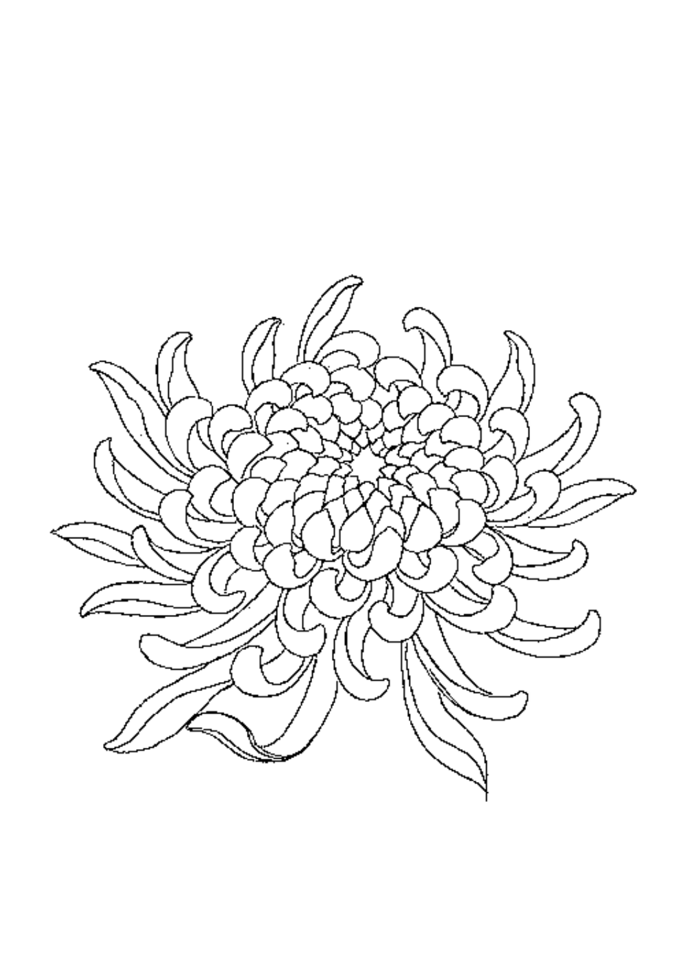